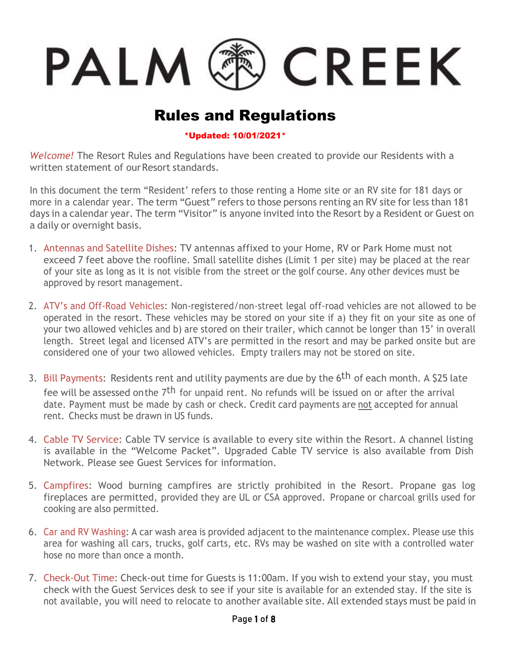## <sup>後</sup> CREEK PALM C

## Rules and Regulations

## \*Updated: 10/01/2021\*

*Welcome!* The Resort Rules and Regulations have been created to provide our Residents with a written statement of our Resort standards.

In this document the term "Resident' refers to those renting a Home site or an RV site for 181 days or more in a calendar year. The term "Guest" refers to those persons renting an RV site for less than 181 days in a calendar year. The term "Visitor" is anyone invited into the Resort by a Resident or Guest on a daily or overnight basis.

- 1. Antennas and Satellite Dishes: TV antennas affixed to your Home, RV or Park Home must not exceed 7 feet above the roofline. Small satellite dishes (Limit 1 per site) may be placed at the rear of your site as long as it is not visible from the street or the golf course. Any other devices must be approved by resort management.
- 2. ATV's and Off-Road Vehicles: Non-registered/non-street legal off-road vehicles are not allowed to be operated in the resort. These vehicles may be stored on your site if a) they fit on your site as one of your two allowed vehicles and b) are stored on their trailer, which cannot be longer than 15' in overall length. Street legal and licensed ATV's are permitted in the resort and may be parked onsite but are considered one of your two allowed vehicles. Empty trailers may not be stored on site.
- 3. Bill Payments: Residents rent and utility payments are due by the 6<sup>th</sup> of each month. A \$25 late fee will be assessed onthe 7<sup>th</sup> for unpaid rent. No refunds will be issued on or after the arrival date. Payment must be made by cash or check. Credit card payments are not accepted for annual rent. Checks must be drawn in US funds.
- 4. Cable TV Service: Cable TV service is available to every site within the Resort. A channel listing is available in the "Welcome Packet". Upgraded Cable TV service is also available from Dish Network. Please see Guest Services for information.
- 5. Campfires: Wood burning campfires are strictly prohibited in the Resort. Propane gas log fireplaces are permitted, provided they are UL or CSA approved. Propane or charcoal grills used for cooking are also permitted.
- 6. Car and RV Washing: A car wash area is provided adjacent to the maintenance complex. Please use this area for washing all cars, trucks, golf carts, etc. RVs may be washed on site with a controlled water hose no more than once a month.
- 7. Check-Out Time: Check-out time for Guests is 11:00am. If you wish to extend your stay, you must check with the Guest Services desk to see if your site is available for an extended stay. If the site is not available, you will need to relocate to another available site. All extended stays must be paid in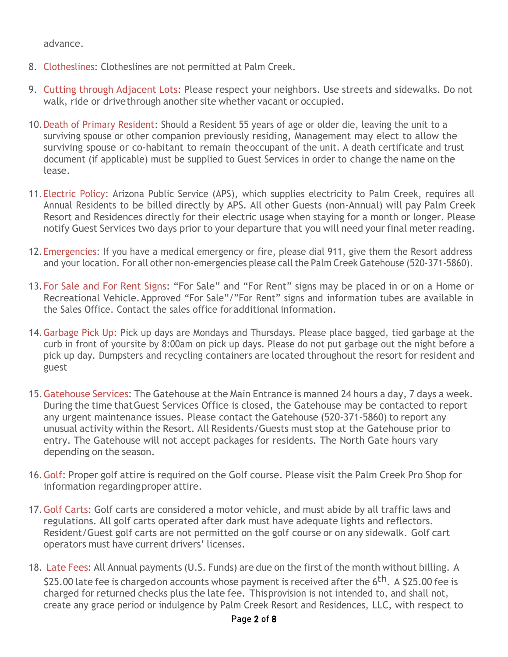advance.

- 8. Clotheslines: Clotheslines are not permitted at Palm Creek.
- 9. Cutting through Adjacent Lots: Please respect your neighbors. Use streets and sidewalks. Do not walk, ride or drivethrough another site whether vacant or occupied.
- 10.Death of Primary Resident: Should a Resident 55 years of age or older die, leaving the unit to a surviving spouse or other companion previously residing, Management may elect to allow the surviving spouse or co-habitant to remain theoccupant of the unit. A death certificate and trust document (if applicable) must be supplied to Guest Services in order to change the name on the lease.
- 11.Electric Policy: Arizona Public Service (APS), which supplies electricity to Palm Creek, requires all Annual Residents to be billed directly by APS. All other Guests (non-Annual) will pay Palm Creek Resort and Residences directly for their electric usage when staying for a month or longer. Please notify Guest Services two days prior to your departure that you will need your final meter reading.
- 12.Emergencies: If you have a medical emergency or fire, please dial 911, give them the Resort address and your location. For all other non-emergencies please call the Palm Creek Gatehouse (520-371-5860).
- 13.For Sale and For Rent Signs: "For Sale" and "For Rent" signs may be placed in or on a Home or Recreational Vehicle.Approved "For Sale"/"For Rent" signs and information tubes are available in the Sales Office. Contact the sales office foradditional information.
- 14.Garbage Pick Up: Pick up days are Mondays and Thursdays. Please place bagged, tied garbage at the curb in front of your site by 8:00am on pick up days. Please do not put garbage out the night before a pick up day. Dumpsters and recycling containers are located throughout the resort for resident and guest
- 15.Gatehouse Services: The Gatehouse at the Main Entrance is manned 24 hours a day, 7 days a week. During the time thatGuest Services Office is closed, the Gatehouse may be contacted to report any urgent maintenance issues. Please contact the Gatehouse (520-371-5860) to report any unusual activity within the Resort. All Residents/Guests must stop at the Gatehouse prior to entry. The Gatehouse will not accept packages for residents. The North Gate hours vary depending on the season.
- 16.Golf: Proper golf attire is required on the Golf course. Please visit the Palm Creek Pro Shop for information regardingproper attire.
- 17.Golf Carts: Golf carts are considered a motor vehicle, and must abide by all traffic laws and regulations. All golf carts operated after dark must have adequate lights and reflectors. Resident/Guest golf carts are not permitted on the golf course or on any sidewalk. Golf cart operators must have current drivers' licenses.
- 18. Late Fees: All Annual payments (U.S. Funds) are due on the first of the month without billing. A \$25.00 late fee is chargedon accounts whose payment is received after the  $6^{\rm th}$ . A \$25.00 fee is charged for returned checks plus the late fee. Thisprovision is not intended to, and shall not, create any grace period or indulgence by Palm Creek Resort and Residences, LLC, with respect to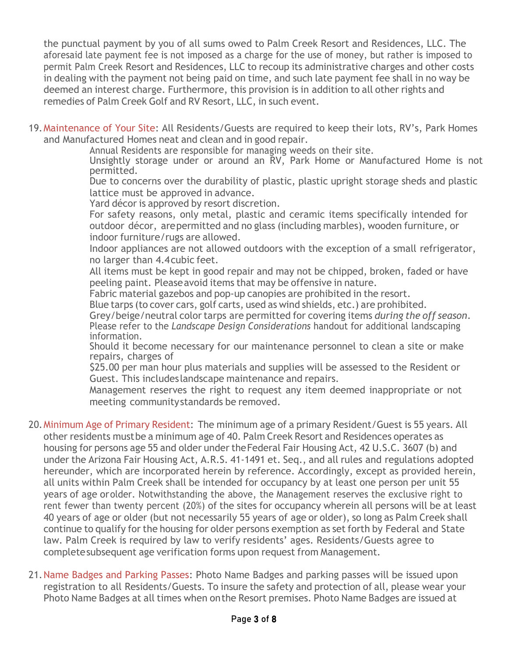the punctual payment by you of all sums owed to Palm Creek Resort and Residences, LLC. The aforesaid late payment fee is not imposed as a charge for the use of money, but rather is imposed to permit Palm Creek Resort and Residences, LLC to recoup its administrative charges and other costs in dealing with the payment not being paid on time, and such late payment fee shall in no way be deemed an interest charge. Furthermore, this provision is in addition to all other rights and remedies of Palm Creek Golf and RV Resort, LLC, in such event.

19.Maintenance of Your Site: All Residents/Guests are required to keep their lots, RV's, Park Homes and Manufactured Homes neat and clean and in good repair.

Annual Residents are responsible for managing weeds on their site.

Unsightly storage under or around an RV, Park Home or Manufactured Home is not permitted.

Due to concerns over the durability of plastic, plastic upright storage sheds and plastic lattice must be approved in advance.

Yard décor is approved by resort discretion.

For safety reasons, only metal, plastic and ceramic items specifically intended for outdoor décor, arepermitted and no glass (including marbles), wooden furniture, or indoor furniture/rugs are allowed.

Indoor appliances are not allowed outdoors with the exception of a small refrigerator, no larger than 4.4cubic feet.

All items must be kept in good repair and may not be chipped, broken, faded or have peeling paint. Pleaseavoid items that may be offensive in nature.

Fabric material gazebos and pop-up canopies are prohibited in the resort.

Blue tarps (to cover cars, golf carts, used as wind shields, etc.) are prohibited.

Grey/beige/neutral color tarps are permitted for covering items *during the off season*. Please refer to the *Landscape Design Considerations* handout for additional landscaping information.

Should it become necessary for our maintenance personnel to clean a site or make repairs, charges of

\$25.00 per man hour plus materials and supplies will be assessed to the Resident or Guest. This includeslandscape maintenance and repairs.

Management reserves the right to request any item deemed inappropriate or not meeting communitystandards be removed.

- 20.Minimum Age of Primary Resident: The minimum age of a primary Resident/Guest is 55 years. All other residents mustbe a minimum age of 40. Palm Creek Resort and Residences operates as housing for persons age 55 and older under theFederal Fair Housing Act, 42 U.S.C. 3607 (b) and under the Arizona Fair Housing Act, A.R.S. 41-1491 et. Seq., and all rules and regulations adopted hereunder, which are incorporated herein by reference. Accordingly, except as provided herein, all units within Palm Creek shall be intended for occupancy by at least one person per unit 55 years of age orolder. Notwithstanding the above, the Management reserves the exclusive right to rent fewer than twenty percent (20%) of the sites for occupancy wherein all persons will be at least 40 years of age or older (but not necessarily 55 years of age or older), so long as Palm Creek shall continue to qualify for the housing for older persons exemption as set forth by Federal and State law. Palm Creek is required by law to verify residents' ages. Residents/Guests agree to completesubsequent age verification forms upon request from Management.
- 21.Name Badges and Parking Passes: Photo Name Badges and parking passes will be issued upon registration to all Residents/Guests. To insure the safety and protection of all, please wear your Photo Name Badges at all times when onthe Resort premises. Photo Name Badges are issued at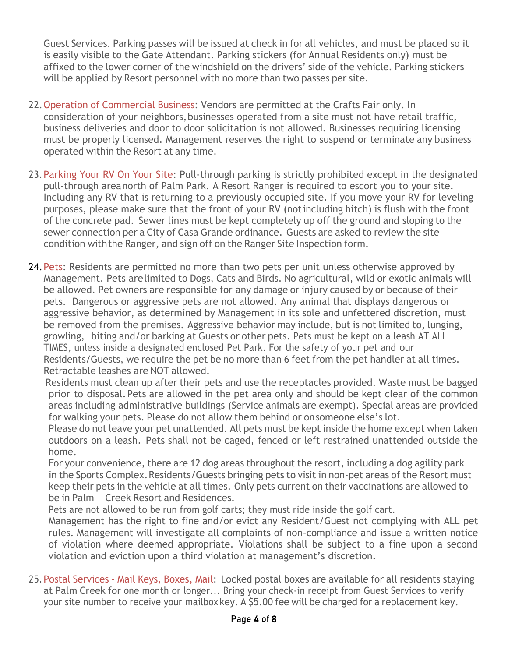Guest Services. Parking passes will be issued at check in for all vehicles, and must be placed so it is easily visible to the Gate Attendant. Parking stickers (for Annual Residents only) must be affixed to the lower corner of the windshield on the drivers' side of the vehicle. Parking stickers will be applied by Resort personnel with no more than two passes per site.

- 22.Operation of Commercial Business: Vendors are permitted at the Crafts Fair only. In consideration of your neighbors, businesses operated from a site must not have retail traffic, business deliveries and door to door solicitation is not allowed. Businesses requiring licensing must be properly licensed. Management reserves the right to suspend or terminate any business operated within the Resort at any time.
- 23.Parking Your RV On Your Site: Pull-through parking is strictly prohibited except in the designated pull-through areanorth of Palm Park. A Resort Ranger is required to escort you to your site. Including any RV that is returning to a previously occupied site. If you move your RV for leveling purposes, please make sure that the front of your RV (notincluding hitch) is flush with the front of the concrete pad. Sewer lines must be kept completely up off the ground and sloping to the sewer connection per a City of Casa Grande ordinance. Guests are asked to review the site condition withthe Ranger, and sign off on the Ranger Site Inspection form.
- 24. Pets: Residents are permitted no more than two pets per unit unless otherwise approved by Management. Pets arelimited to Dogs, Cats and Birds. No agricultural, wild or exotic animals will be allowed. Pet owners are responsible for any damage or injury caused by or because of their pets. Dangerous or aggressive pets are not allowed. Any animal that displays dangerous or aggressive behavior, as determined by Management in its sole and unfettered discretion, must be removed from the premises. Aggressive behavior may include, but is not limited to, lunging, growling, biting and/or barking at Guests or other pets. Pets must be kept on a leash AT ALL TIMES, unless inside a designated enclosed Pet Park. For the safety of your pet and our Residents/Guests, we require the pet be no more than 6 feet from the pet handler at all times. Retractable leashes are NOT allowed.

 Residents must clean up after their pets and use the receptacles provided. Waste must be bagged prior to disposal.Pets are allowed in the pet area only and should be kept clear of the common areas including administrative buildings (Service animals are exempt). Special areas are provided for walking your pets. Please do not allow them behind or onsomeone else's lot.

Please do not leave your pet unattended. All pets must be kept inside the home except when taken outdoors on a leash. Pets shall not be caged, fenced or left restrained unattended outside the home.

 For your convenience, there are 12 dog areas throughout the resort, including a dog agility park in the Sports Complex. Residents/Guests bringing pets to visit in non-pet areas of the Resort must keep their pets in the vehicle at all times. Only pets current on their vaccinations are allowed to be in Palm Creek Resort and Residences.

Pets are not allowed to be run from golf carts; they must ride inside the golf cart.

Management has the right to fine and/or evict any Resident/Guest not complying with ALL pet rules. Management will investigate all complaints of non-compliance and issue a written notice of violation where deemed appropriate. Violations shall be subject to a fine upon a second violation and eviction upon a third violation at management's discretion.

25.Postal Services - Mail Keys, Boxes, Mail: Locked postal boxes are available for all residents staying at Palm Creek for one month or longer... Bring your check-in receipt from Guest Services to verify your site number to receive your mailboxkey. A \$5.00 fee will be charged for a replacement key.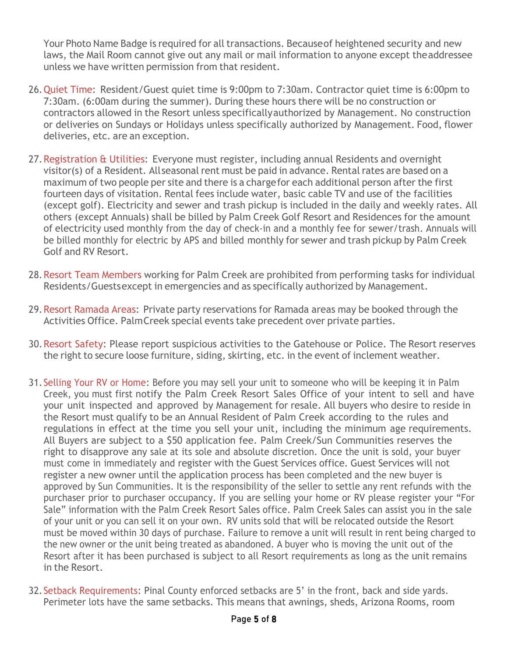Your Photo Name Badge is required for all transactions. Because of heightened security and new laws, the Mail Room cannot give out any mail or mail information to anyone except theaddressee unless we have written permission from that resident.

- 26.Quiet Time: Resident/Guest quiet time is 9:00pm to 7:30am. Contractor quiet time is 6:00pm to 7:30am. (6:00am during the summer). During these hours there will be no construction or contractors allowed in the Resort unless specificallyauthorized by Management. No construction or deliveries on Sundays or Holidays unless specifically authorized by Management. Food, flower deliveries, etc. are an exception.
- 27. Registration & Utilities: Everyone must register, including annual Residents and overnight visitor(s) of a Resident. Allseasonal rent must be paid in advance. Rental rates are based on a maximum of two people per site and there is a chargefor each additional person after the first fourteen days of visitation. Rental fees include water, basic cable TV and use of the facilities (except golf). Electricity and sewer and trash pickup is included in the daily and weekly rates. All others (except Annuals) shall be billed by Palm Creek Golf Resort and Residences for the amount of electricity used monthly from the day of check-in and a monthly fee for sewer/trash. Annuals will be billed monthly for electric by APS and billed monthly for sewer and trash pickup by Palm Creek Golf and RV Resort.
- 28.Resort Team Members working for Palm Creek are prohibited from performing tasks for individual Residents/Guestsexcept in emergencies and as specifically authorized by Management.
- 29.Resort Ramada Areas: Private party reservations for Ramada areas may be booked through the Activities Office. PalmCreek special events take precedent over private parties.
- 30.Resort Safety: Please report suspicious activities to the Gatehouse or Police. The Resort reserves the right to secure loose furniture, siding, skirting, etc. in the event of inclement weather.
- 31.Selling Your RV or Home: Before you may sell your unit to someone who will be keeping it in Palm Creek, you must first notify the Palm Creek Resort Sales Office of your intent to sell and have your unit inspected and approved by Management for resale. All buyers who desire to reside in the Resort must qualify to be an Annual Resident of Palm Creek according to the rules and regulations in effect at the time you sell your unit, including the minimum age requirements. All Buyers are subject to a \$50 application fee. Palm Creek/Sun Communities reserves the right to disapprove any sale at its sole and absolute discretion. Once the unit is sold, your buyer must come in immediately and register with the Guest Services office. Guest Services will not register a new owner until the application process has been completed and the new buyer is approved by Sun Communities. It is the responsibility of the seller to settle any rent refunds with the purchaser prior to purchaser occupancy. If you are selling your home or RV please register your "For Sale" information with the Palm Creek Resort Sales office. Palm Creek Sales can assist you in the sale of your unit or you can sell it on your own. RV units sold that will be relocated outside the Resort must be moved within 30 days of purchase. Failure to remove a unit will result in rent being charged to the new owner or the unit being treated as abandoned. A buyer who is moving the unit out of the Resort after it has been purchased is subject to all Resort requirements as long as the unit remains in the Resort.
- 32.Setback Requirements: Pinal County enforced setbacks are 5' in the front, back and side yards. Perimeter lots have the same setbacks. This means that awnings, sheds, Arizona Rooms, room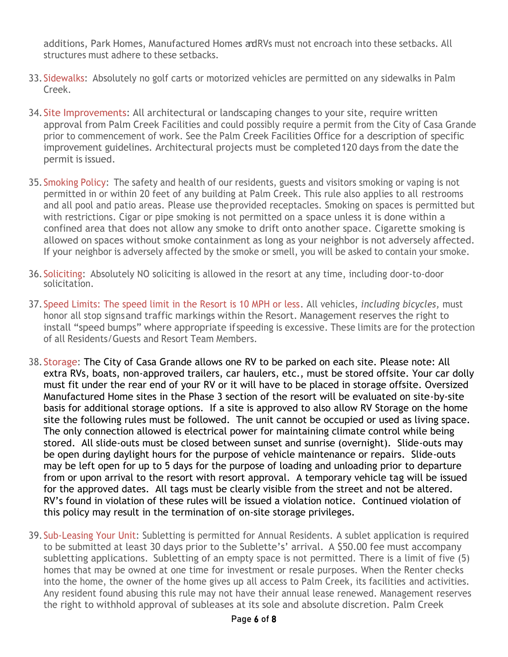additions, Park Homes, Manufactured Homes adRVs must not encroach into these setbacks. All structures must adhere to these setbacks.

- 33.Sidewalks: Absolutely no golf carts or motorized vehicles are permitted on any sidewalks in Palm Creek.
- 34.Site Improvements: All architectural or landscaping changes to your site, require written approval from Palm Creek Facilities and could possibly require a permit from the City of Casa Grande prior to commencement of work. See the Palm Creek Facilities Office for a description of specific improvement guidelines. Architectural projects must be completed120 days from the date the permit is issued.
- 35.Smoking Policy: The safety and health of our residents, guests and visitors smoking or vaping is not permitted in or within 20 feet of any building at Palm Creek. This rule also applies to all restrooms and all pool and patio areas. Please use theprovided receptacles. Smoking on spaces is permitted but with restrictions. Cigar or pipe smoking is not permitted on a space unless it is done within a confined area that does not allow any smoke to drift onto another space. Cigarette smoking is allowed on spaces without smoke containment as long as your neighbor is not adversely affected. If your neighbor is adversely affected by the smoke or smell, you will be asked to contain your smoke.
- 36.Soliciting: Absolutely NO soliciting is allowed in the resort at any time, including door-to-door solicitation.
- 37.Speed Limits: The speed limit in the Resort is 10 MPH or less. All vehicles, *including bicycles,* must honor all stop signsand traffic markings within the Resort. Management reserves the right to install "speed bumps" where appropriate ifspeeding is excessive. These limits are for the protection of all Residents/Guests and Resort Team Members.
- 38.Storage: The City of Casa Grande allows one RV to be parked on each site. Please note: All extra RVs, boats, non-approved trailers, car haulers, etc., must be stored offsite. Your car dolly must fit under the rear end of your RV or it will have to be placed in storage offsite. Oversized Manufactured Home sites in the Phase 3 section of the resort will be evaluated on site-by-site basis for additional storage options. If a site is approved to also allow RV Storage on the home site the following rules must be followed. The unit cannot be occupied or used as living space. The only connection allowed is electrical power for maintaining climate control while being stored. All slide-outs must be closed between sunset and sunrise (overnight). Slide-outs may be open during daylight hours for the purpose of vehicle maintenance or repairs. Slide-outs may be left open for up to 5 days for the purpose of loading and unloading prior to departure from or upon arrival to the resort with resort approval. A temporary vehicle tag will be issued for the approved dates. All tags must be clearly visible from the street and not be altered. RV's found in violation of these rules will be issued a violation notice. Continued violation of this policy may result in the termination of on-site storage privileges.
- 39.Sub-Leasing Your Unit: Subletting is permitted for Annual Residents. A sublet application is required to be submitted at least 30 days prior to the Sublette's' arrival. A \$50.00 fee must accompany subletting applications. Subletting of an empty space is not permitted. There is a limit of five (5) homes that may be owned at one time for investment or resale purposes. When the Renter checks into the home, the owner of the home gives up all access to Palm Creek, its facilities and activities. Any resident found abusing this rule may not have their annual lease renewed. Management reserves the right to withhold approval of subleases at its sole and absolute discretion. Palm Creek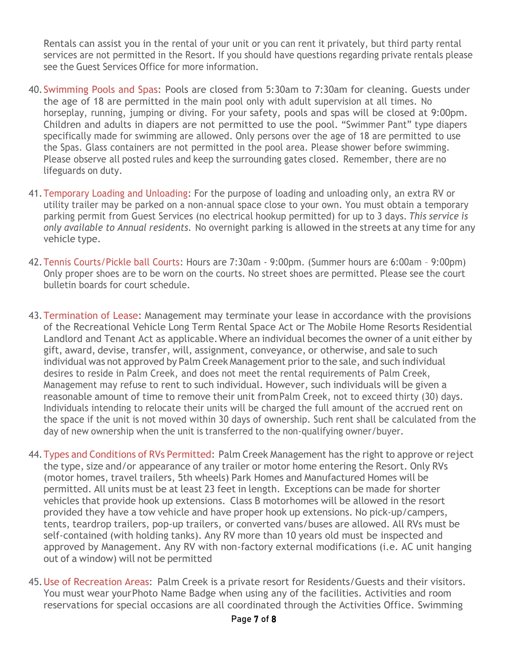Rentals can assist you in the rental of your unit or you can rent it privately, but third party rental services are not permitted in the Resort. If you should have questions regarding private rentals please see the Guest Services Office for more information.

- 40.Swimming Pools and Spas: Pools are closed from 5:30am to 7:30am for cleaning. Guests under the age of 18 are permitted in the main pool only with adult supervision at all times. No horseplay, running, jumping or diving. For your safety, pools and spas will be closed at 9:00pm. Children and adults in diapers are not permitted to use the pool. "Swimmer Pant" type diapers specifically made for swimming are allowed. Only persons over the age of 18 are permitted to use the Spas. Glass containers are not permitted in the pool area. Please shower before swimming. Please observe all posted rules and keep the surrounding gates closed. Remember, there are no lifeguards on duty.
- 41.Temporary Loading and Unloading: For the purpose of loading and unloading only, an extra RV or utility trailer may be parked on a non-annual space close to your own. You must obtain a temporary parking permit from Guest Services (no electrical hookup permitted) for up to 3 days. *This service is only available to Annual residents.* No overnight parking is allowed in the streets at any time for any vehicle type.
- 42.Tennis Courts/Pickle ball Courts: Hours are 7:30am 9:00pm. (Summer hours are 6:00am 9:00pm) Only proper shoes are to be worn on the courts. No street shoes are permitted. Please see the court bulletin boards for court schedule.
- 43.Termination of Lease: Management may terminate your lease in accordance with the provisions of the Recreational Vehicle Long Term Rental Space Act or The Mobile Home Resorts Residential Landlord and Tenant Act as applicable.Where an individual becomes the owner of a unit either by gift, award, devise, transfer, will, assignment, conveyance, or otherwise, and sale to such individual was not approved by Palm Creek Management prior to the sale, and such individual desires to reside in Palm Creek, and does not meet the rental requirements of Palm Creek, Management may refuse to rent to such individual. However, such individuals will be given a reasonable amount of time to remove their unit fromPalm Creek, not to exceed thirty (30) days. Individuals intending to relocate their units will be charged the full amount of the accrued rent on the space if the unit is not moved within 30 days of ownership. Such rent shall be calculated from the day of new ownership when the unit is transferred to the non-qualifying owner/buyer.
- 44.Types and Conditions of RVs Permitted: Palm Creek Management has the right to approve or reject the type, size and/or appearance of any trailer or motor home entering the Resort. Only RVs (motor homes, travel trailers, 5th wheels) Park Homes and Manufactured Homes will be permitted. All units must be at least 23 feet in length. Exceptions can be made for shorter vehicles that provide hook up extensions. Class B motorhomes will be allowed in the resort provided they have a tow vehicle and have proper hook up extensions. No pick-up/campers, tents, teardrop trailers, pop-up trailers, or converted vans/buses are allowed. All RVs must be self-contained (with holding tanks). Any RV more than 10 years old must be inspected and approved by Management. Any RV with non-factory external modifications (i.e. AC unit hanging out of a window) will not be permitted
- 45.Use of Recreation Areas: Palm Creek is a private resort for Residents/Guests and their visitors. You must wear yourPhoto Name Badge when using any of the facilities. Activities and room reservations for special occasions are all coordinated through the Activities Office. Swimming